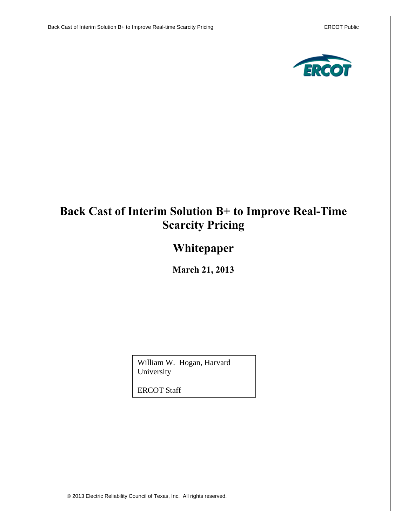

# **Back Cast of Interim Solution B+ to Improve Real-Time Scarcity Pricing**

# **Whitepaper**

**March 21, 2013**

William W. Hogan, Harvard University

ERCOT Staff

© 2013 Electric Reliability Council of Texas, Inc. All rights reserved.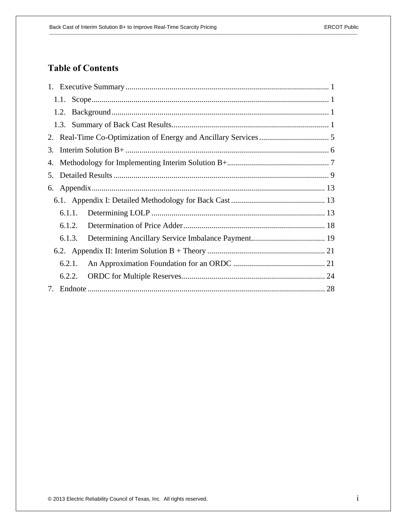## **Table of Contents**

| 3. |        |  |
|----|--------|--|
|    |        |  |
| 5. |        |  |
| 6. |        |  |
|    |        |  |
|    | 6.1.1. |  |
|    | 6.1.2. |  |
|    | 6.1.3. |  |
|    |        |  |
|    | 6.2.1. |  |
|    | 6.2.2. |  |
|    |        |  |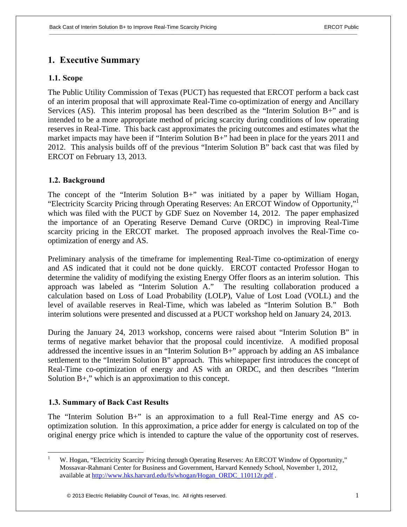## **1. Executive Summary**

## **1.1. Scope**

The Public Utility Commission of Texas (PUCT) has requested that ERCOT perform a back cast of an interim proposal that will approximate Real-Time co-optimization of energy and Ancillary Services (AS). This interim proposal has been described as the "Interim Solution  $B_{+}$ " and is intended to be a more appropriate method of pricing scarcity during conditions of low operating reserves in Real-Time. This back cast approximates the pricing outcomes and estimates what the market impacts may have been if "Interim Solution B+" had been in place for the years 2011 and 2012. This analysis builds off of the previous "Interim Solution B" back cast that was filed by ERCOT on February 13, 2013.

## **1.2. Background**

The concept of the "Interim Solution B+" was initiated by a paper by William Hogan, "Electricity Scarcity Pricing through Operating Reserves: An ERCOT Window of Opportunity,"1 which was filed with the PUCT by GDF Suez on November 14, 2012. The paper emphasized the importance of an Operating Reserve Demand Curve (ORDC) in improving Real-Time scarcity pricing in the ERCOT market. The proposed approach involves the Real-Time cooptimization of energy and AS.

Preliminary analysis of the timeframe for implementing Real-Time co-optimization of energy and AS indicated that it could not be done quickly. ERCOT contacted Professor Hogan to determine the validity of modifying the existing Energy Offer floors as an interim solution. This approach was labeled as "Interim Solution A." The resulting collaboration produced a calculation based on Loss of Load Probability (LOLP), Value of Lost Load (VOLL) and the level of available reserves in Real-Time, which was labeled as "Interim Solution B." Both interim solutions were presented and discussed at a PUCT workshop held on January 24, 2013.

During the January 24, 2013 workshop, concerns were raised about "Interim Solution B" in terms of negative market behavior that the proposal could incentivize. A modified proposal addressed the incentive issues in an "Interim Solution B+" approach by adding an AS imbalance settlement to the "Interim Solution B" approach. This whitepaper first introduces the concept of Real-Time co-optimization of energy and AS with an ORDC, and then describes "Interim Solution  $B_{+}$ ," which is an approximation to this concept.

#### **1.3. Summary of Back Cast Results**

1

The "Interim Solution B+" is an approximation to a full Real-Time energy and AS cooptimization solution. In this approximation, a price adder for energy is calculated on top of the original energy price which is intended to capture the value of the opportunity cost of reserves.

<sup>1</sup> W. Hogan, "Electricity Scarcity Pricing through Operating Reserves: An ERCOT Window of Opportunity," Mossavar-Rahmani Center for Business and Government, Harvard Kennedy School, November 1, 2012, available at http://www.hks.harvard.edu/fs/whogan/Hogan\_ORDC\_110112r.pdf .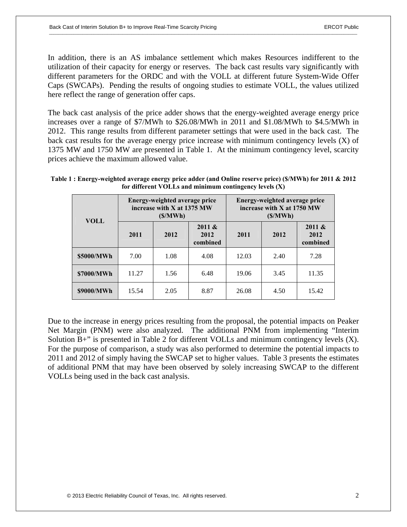In addition, there is an AS imbalance settlement which makes Resources indifferent to the utilization of their capacity for energy or reserves. The back cast results vary significantly with different parameters for the ORDC and with the VOLL at different future System-Wide Offer Caps (SWCAPs). Pending the results of ongoing studies to estimate VOLL, the values utilized here reflect the range of generation offer caps.

The back cast analysis of the price adder shows that the energy-weighted average energy price increases over a range of \$7/MWh to \$26.08/MWh in 2011 and \$1.08/MWh to \$4.5/MWh in 2012. This range results from different parameter settings that were used in the back cast. The back cast results for the average energy price increase with minimum contingency levels (X) of 1375 MW and 1750 MW are presented in Table 1. At the minimum contingency level, scarcity prices achieve the maximum allowed value.

|  | Table 1 : Energy-weighted average energy price adder (and Online reserve price) (\$/MWh) for 2011 & 2012<br>for different VOLLs and minimum contingency levels $(X)$ |                               |  |
|--|----------------------------------------------------------------------------------------------------------------------------------------------------------------------|-------------------------------|--|
|  | Energy-weighted average price                                                                                                                                        | Eneroy-weighted average price |  |

| <b>VOLL</b> | Energy-weighted average price<br>increase with X at 1375 MW<br>(S/MWh) |      |                            | Energy-weighted average price<br>increase with X at 1750 MW<br>(S/MWh) |      |                            |
|-------------|------------------------------------------------------------------------|------|----------------------------|------------------------------------------------------------------------|------|----------------------------|
|             | 2011                                                                   | 2012 | 2011 &<br>2012<br>combined | 2011                                                                   | 2012 | 2011 &<br>2012<br>combined |
| \$5000/MWh  | 7.00                                                                   | 1.08 | 4.08                       | 12.03                                                                  | 2.40 | 7.28                       |
| \$7000/MWh  | 11.27                                                                  | 1.56 | 6.48                       | 19.06                                                                  | 3.45 | 11.35                      |
| \$9000/MWh  | 15.54                                                                  | 2.05 | 8.87                       | 26.08                                                                  | 4.50 | 15.42                      |

Due to the increase in energy prices resulting from the proposal, the potential impacts on Peaker Net Margin (PNM) were also analyzed. The additional PNM from implementing "Interim Solution B+" is presented in Table 2 for different VOLLs and minimum contingency levels (X). For the purpose of comparison, a study was also performed to determine the potential impacts to 2011 and 2012 of simply having the SWCAP set to higher values. Table 3 presents the estimates of additional PNM that may have been observed by solely increasing SWCAP to the different VOLLs being used in the back cast analysis.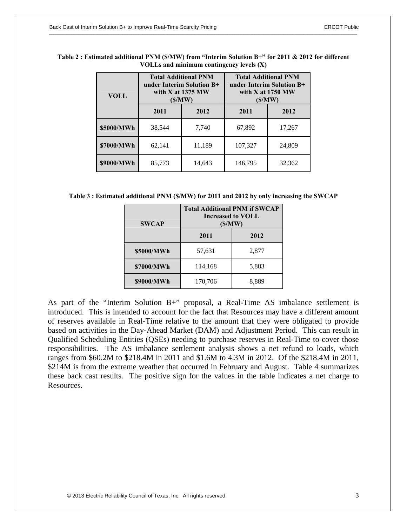| <b>VOLL</b> | <b>Total Additional PNM</b><br>under Interim Solution B+<br>with $X$ at 1375 MW<br>(S/MW) |        | <b>Total Additional PNM</b><br>under Interim Solution B+<br>with $X$ at 1750 MW<br>(S/MW) |        |  |
|-------------|-------------------------------------------------------------------------------------------|--------|-------------------------------------------------------------------------------------------|--------|--|
|             | 2011                                                                                      | 2012   | 2011                                                                                      | 2012   |  |
| \$5000/MWh  | 38,544                                                                                    | 7,740  | 67,892                                                                                    | 17,267 |  |
| \$7000/MWh  | 62,141                                                                                    | 11,189 | 107,327                                                                                   | 24,809 |  |
| \$9000/MWh  | 85,773                                                                                    | 14,643 | 146,795                                                                                   | 32,362 |  |

| Table 2 : Estimated additional PNM (\$/MW) from "Interim Solution B+" for 2011 & 2012 for different |  |
|-----------------------------------------------------------------------------------------------------|--|
| VOLLs and minimum contingency levels $(X)$                                                          |  |

**Table 3 : Estimated additional PNM (\$/MW) for 2011 and 2012 by only increasing the SWCAP** 

| <b>SWCAP</b> | <b>Total Additional PNM if SWCAP</b><br>Increased to VOLL<br>(S/MW) |       |  |  |
|--------------|---------------------------------------------------------------------|-------|--|--|
|              | 2011                                                                | 2012  |  |  |
| \$5000/MWh   | 57,631                                                              | 2,877 |  |  |
| \$7000/MWh   | 114,168                                                             | 5,883 |  |  |
| \$9000/MWh   | 170,706                                                             | 8,889 |  |  |

As part of the "Interim Solution B+" proposal, a Real-Time AS imbalance settlement is introduced. This is intended to account for the fact that Resources may have a different amount of reserves available in Real-Time relative to the amount that they were obligated to provide based on activities in the Day-Ahead Market (DAM) and Adjustment Period. This can result in Qualified Scheduling Entities (QSEs) needing to purchase reserves in Real-Time to cover those responsibilities. The AS imbalance settlement analysis shows a net refund to loads, which ranges from \$60.2M to \$218.4M in 2011 and \$1.6M to 4.3M in 2012. Of the \$218.4M in 2011, \$214M is from the extreme weather that occurred in February and August. Table 4 summarizes these back cast results. The positive sign for the values in the table indicates a net charge to Resources.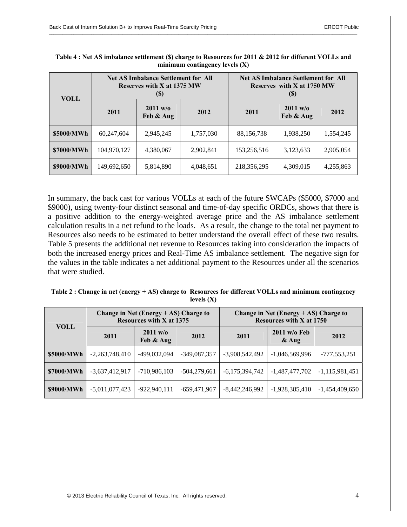| <b>VOLL</b> | <b>Net AS Imbalance Settlement for All</b><br>Reserves with X at 1375 MW<br>(S) |                       |           | <b>Net AS Imbalance Settlement for All</b><br>Reserves with X at 1750 MW<br>(S) |                       |           |
|-------------|---------------------------------------------------------------------------------|-----------------------|-----------|---------------------------------------------------------------------------------|-----------------------|-----------|
|             | 2011                                                                            | 2011 w/o<br>Feb & Aug | 2012      | 2011                                                                            | 2011 w/o<br>Feb & Aug | 2012      |
| \$5000/MWh  | 60,247,604                                                                      | 2,945,245             | 1,757,030 | 88,156,738                                                                      | 1,938,250             | 1,554,245 |
| \$7000/MWh  | 104,970,127                                                                     | 4,380,067             | 2,902,841 | 153,256,516                                                                     | 3,123,633             | 2,905,054 |
| \$9000/MWh  | 149,692,650                                                                     | 5,814,890             | 4,048,651 | 218,356,295                                                                     | 4,309,015             | 4,255,863 |

| Table 4 : Net AS imbalance settlement (\$) charge to Resources for 2011 & 2012 for different VOLLs and |
|--------------------------------------------------------------------------------------------------------|
| minimum contingency levels $(X)$                                                                       |

In summary, the back cast for various VOLLs at each of the future SWCAPs (\$5000, \$7000 and \$9000), using twenty-four distinct seasonal and time-of-day specific ORDCs, shows that there is a positive addition to the energy-weighted average price and the AS imbalance settlement calculation results in a net refund to the loads. As a result, the change to the total net payment to Resources also needs to be estimated to better understand the overall effect of these two results. Table 5 presents the additional net revenue to Resources taking into consideration the impacts of both the increased energy prices and Real-Time AS imbalance settlement. The negative sign for the values in the table indicates a net additional payment to the Resources under all the scenarios that were studied.

| Table 2 : Change in net (energy + AS) charge to Resources for different VOLLs and minimum contingency |
|-------------------------------------------------------------------------------------------------------|
| levels $(X)$                                                                                          |

|             | Change in Net (Energy $+$ AS) Charge to<br><b>Resources with X at 1375</b> |                       |                | Change in Net (Energy $+$ AS) Charge to<br><b>Resources with X at 1750</b> |                           |                  |
|-------------|----------------------------------------------------------------------------|-----------------------|----------------|----------------------------------------------------------------------------|---------------------------|------------------|
| <b>VOLL</b> | 2011                                                                       | 2011 w/o<br>Feb & Aug | 2012           | 2011                                                                       | $2011$ w/o Feb<br>$&$ Aug | 2012             |
| \$5000/MWh  | $-2,263,748,410$                                                           | -499,032,094          | $-349,087,357$ | $-3,908,542,492$                                                           | $-1,046,569,996$          | $-777,553,251$   |
| \$7000/MWh  | $-3,637,412,917$                                                           | $-710,986,103$        | $-504,279,661$ | $-6,175,394,742$                                                           | $-1,487,477,702$          | $-1,115,981,451$ |
| \$9000/MWh  | $-5,011,077,423$                                                           | $-922,940,111$        | $-659,471,967$ | $-8,442,246,992$                                                           | $-1,928,385,410$          | $-1,454,409,650$ |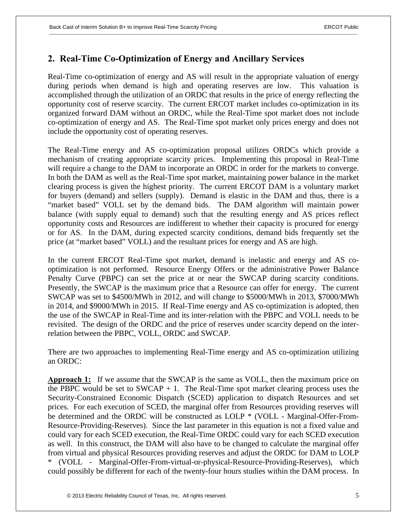## **2. Real-Time Co-Optimization of Energy and Ancillary Services**

Real-Time co-optimization of energy and AS will result in the appropriate valuation of energy during periods when demand is high and operating reserves are low. This valuation is accomplished through the utilization of an ORDC that results in the price of energy reflecting the opportunity cost of reserve scarcity. The current ERCOT market includes co-optimization in its organized forward DAM without an ORDC, while the Real-Time spot market does not include co-optimization of energy and AS. The Real-Time spot market only prices energy and does not include the opportunity cost of operating reserves.

The Real-Time energy and AS co-optimization proposal utilizes ORDCs which provide a mechanism of creating appropriate scarcity prices. Implementing this proposal in Real-Time will require a change to the DAM to incorporate an ORDC in order for the markets to converge. In both the DAM as well as the Real-Time spot market, maintaining power balance in the market clearing process is given the highest priority. The current ERCOT DAM is a voluntary market for buyers (demand) and sellers (supply). Demand is elastic in the DAM and thus, there is a "market based" VOLL set by the demand bids. The DAM algorithm will maintain power balance (with supply equal to demand) such that the resulting energy and AS prices reflect opportunity costs and Resources are indifferent to whether their capacity is procured for energy or for AS. In the DAM, during expected scarcity conditions, demand bids frequently set the price (at "market based" VOLL) and the resultant prices for energy and AS are high.

In the current ERCOT Real-Time spot market, demand is inelastic and energy and AS cooptimization is not performed. Resource Energy Offers or the administrative Power Balance Penalty Curve (PBPC) can set the price at or near the SWCAP during scarcity conditions. Presently, the SWCAP is the maximum price that a Resource can offer for energy. The current SWCAP was set to \$4500/MWh in 2012, and will change to \$5000/MWh in 2013, \$7000/MWh in 2014, and \$9000/MWh in 2015. If Real-Time energy and AS co-optimization is adopted, then the use of the SWCAP in Real-Time and its inter-relation with the PBPC and VOLL needs to be revisited. The design of the ORDC and the price of reserves under scarcity depend on the interrelation between the PBPC, VOLL, ORDC and SWCAP.

There are two approaches to implementing Real-Time energy and AS co-optimization utilizing an ORDC:

**Approach 1:** If we assume that the SWCAP is the same as VOLL, then the maximum price on the PBPC would be set to  $SWCAP + 1$ . The Real-Time spot market clearing process uses the Security-Constrained Economic Dispatch (SCED) application to dispatch Resources and set prices. For each execution of SCED, the marginal offer from Resources providing reserves will be determined and the ORDC will be constructed as LOLP \* (VOLL - Marginal-Offer-From-Resource-Providing-Reserves). Since the last parameter in this equation is not a fixed value and could vary for each SCED execution, the Real-Time ORDC could vary for each SCED execution as well. In this construct, the DAM will also have to be changed to calculate the marginal offer from virtual and physical Resources providing reserves and adjust the ORDC for DAM to LOLP \* (VOLL - Marginal-Offer-From-virtual-or-physical-Resource-Providing-Reserves), which could possibly be different for each of the twenty-four hours studies within the DAM process. In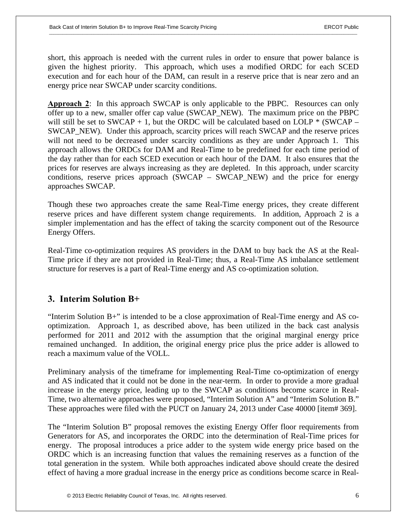short, this approach is needed with the current rules in order to ensure that power balance is given the highest priority. This approach, which uses a modified ORDC for each SCED execution and for each hour of the DAM, can result in a reserve price that is near zero and an energy price near SWCAP under scarcity conditions.

**Approach 2**: In this approach SWCAP is only applicable to the PBPC. Resources can only offer up to a new, smaller offer cap value (SWCAP\_NEW). The maximum price on the PBPC will still be set to SWCAP + 1, but the ORDC will be calculated based on LOLP  $*$  (SWCAP – SWCAP\_NEW). Under this approach, scarcity prices will reach SWCAP and the reserve prices will not need to be decreased under scarcity conditions as they are under Approach 1. This approach allows the ORDCs for DAM and Real-Time to be predefined for each time period of the day rather than for each SCED execution or each hour of the DAM. It also ensures that the prices for reserves are always increasing as they are depleted. In this approach, under scarcity conditions, reserve prices approach (SWCAP – SWCAP NEW) and the price for energy approaches SWCAP.

Though these two approaches create the same Real-Time energy prices, they create different reserve prices and have different system change requirements. In addition, Approach 2 is a simpler implementation and has the effect of taking the scarcity component out of the Resource Energy Offers.

Real-Time co-optimization requires AS providers in the DAM to buy back the AS at the Real-Time price if they are not provided in Real-Time; thus, a Real-Time AS imbalance settlement structure for reserves is a part of Real-Time energy and AS co-optimization solution.

## **3. Interim Solution B+**

"Interim Solution B+" is intended to be a close approximation of Real-Time energy and AS cooptimization. Approach 1, as described above, has been utilized in the back cast analysis performed for 2011 and 2012 with the assumption that the original marginal energy price remained unchanged. In addition, the original energy price plus the price adder is allowed to reach a maximum value of the VOLL.

Preliminary analysis of the timeframe for implementing Real-Time co-optimization of energy and AS indicated that it could not be done in the near-term. In order to provide a more gradual increase in the energy price, leading up to the SWCAP as conditions become scarce in Real-Time, two alternative approaches were proposed, "Interim Solution A" and "Interim Solution B." These approaches were filed with the PUCT on January 24, 2013 under Case 40000 [item# 369].

The "Interim Solution B" proposal removes the existing Energy Offer floor requirements from Generators for AS, and incorporates the ORDC into the determination of Real-Time prices for energy. The proposal introduces a price adder to the system wide energy price based on the ORDC which is an increasing function that values the remaining reserves as a function of the total generation in the system. While both approaches indicated above should create the desired effect of having a more gradual increase in the energy price as conditions become scarce in Real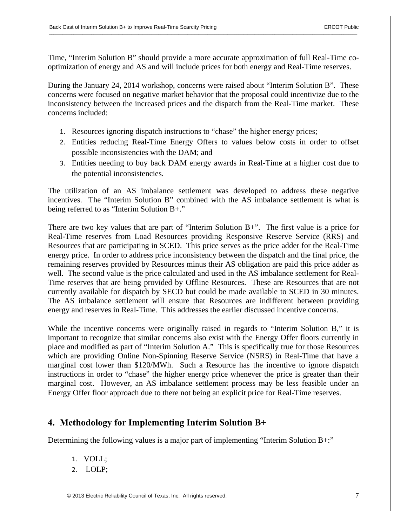Time, "Interim Solution B" should provide a more accurate approximation of full Real-Time cooptimization of energy and AS and will include prices for both energy and Real-Time reserves.

During the January 24, 2014 workshop, concerns were raised about "Interim Solution B". These concerns were focused on negative market behavior that the proposal could incentivize due to the inconsistency between the increased prices and the dispatch from the Real-Time market. These concerns included:

- 1. Resources ignoring dispatch instructions to "chase" the higher energy prices;
- 2. Entities reducing Real-Time Energy Offers to values below costs in order to offset possible inconsistencies with the DAM; and
- 3. Entities needing to buy back DAM energy awards in Real-Time at a higher cost due to the potential inconsistencies.

The utilization of an AS imbalance settlement was developed to address these negative incentives. The "Interim Solution B" combined with the AS imbalance settlement is what is being referred to as "Interim Solution B+."

There are two key values that are part of "Interim Solution B+". The first value is a price for Real-Time reserves from Load Resources providing Responsive Reserve Service (RRS) and Resources that are participating in SCED. This price serves as the price adder for the Real-Time energy price. In order to address price inconsistency between the dispatch and the final price, the remaining reserves provided by Resources minus their AS obligation are paid this price adder as well. The second value is the price calculated and used in the AS imbalance settlement for Real-Time reserves that are being provided by Offline Resources. These are Resources that are not currently available for dispatch by SECD but could be made available to SCED in 30 minutes. The AS imbalance settlement will ensure that Resources are indifferent between providing energy and reserves in Real-Time. This addresses the earlier discussed incentive concerns.

While the incentive concerns were originally raised in regards to "Interim Solution B," it is important to recognize that similar concerns also exist with the Energy Offer floors currently in place and modified as part of "Interim Solution A." This is specifically true for those Resources which are providing Online Non-Spinning Reserve Service (NSRS) in Real-Time that have a marginal cost lower than \$120/MWh. Such a Resource has the incentive to ignore dispatch instructions in order to "chase" the higher energy price whenever the price is greater than their marginal cost. However, an AS imbalance settlement process may be less feasible under an Energy Offer floor approach due to there not being an explicit price for Real-Time reserves.

## **4. Methodology for Implementing Interim Solution B+**

Determining the following values is a major part of implementing "Interim Solution B+:"

- 1. VOLL;
- 2. LOLP;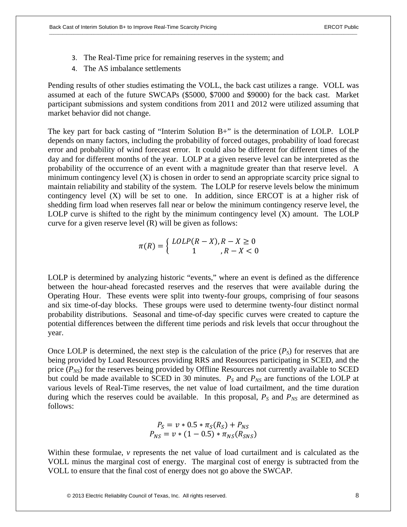- 3. The Real-Time price for remaining reserves in the system; and
- 4. The AS imbalance settlements

Pending results of other studies estimating the VOLL, the back cast utilizes a range. VOLL was assumed at each of the future SWCAPs (\$5000, \$7000 and \$9000) for the back cast. Market participant submissions and system conditions from 2011 and 2012 were utilized assuming that market behavior did not change.

The key part for back casting of "Interim Solution B+" is the determination of LOLP. LOLP depends on many factors, including the probability of forced outages, probability of load forecast error and probability of wind forecast error. It could also be different for different times of the day and for different months of the year. LOLP at a given reserve level can be interpreted as the probability of the occurrence of an event with a magnitude greater than that reserve level. A minimum contingency level (X) is chosen in order to send an appropriate scarcity price signal to maintain reliability and stability of the system. The LOLP for reserve levels below the minimum contingency level  $(X)$  will be set to one. In addition, since ERCOT is at a higher risk of shedding firm load when reserves fall near or below the minimum contingency reserve level, the LOLP curve is shifted to the right by the minimum contingency level (X) amount. The LOLP curve for a given reserve level (R) will be given as follows:

$$
\pi(R) = \left\{ \begin{array}{c} \text{LOLP}(R - X), R - X \ge 0\\ 1, R - X < 0 \end{array} \right.
$$

LOLP is determined by analyzing historic "events," where an event is defined as the difference between the hour-ahead forecasted reserves and the reserves that were available during the Operating Hour. These events were split into twenty-four groups, comprising of four seasons and six time-of-day blocks. These groups were used to determine twenty-four distinct normal probability distributions. Seasonal and time-of-day specific curves were created to capture the potential differences between the different time periods and risk levels that occur throughout the year.

Once LOLP is determined, the next step is the calculation of the price  $(P<sub>S</sub>)$  for reserves that are being provided by Load Resources providing RRS and Resources participating in SCED, and the price  $(P_{NS})$  for the reserves being provided by Offline Resources not currently available to SCED but could be made available to SCED in 30 minutes.  $P_S$  and  $P_{NS}$  are functions of the LOLP at various levels of Real-Time reserves, the net value of load curtailment, and the time duration during which the reserves could be available. In this proposal,  $P<sub>S</sub>$  and  $P<sub>NS</sub>$  are determined as follows:

$$
P_S = v * 0.5 * \pi_S(R_S) + P_{NS}
$$
  

$$
P_{NS} = v * (1 - 0.5) * \pi_{NS}(R_{SNS})
$$

Within these formulae, *v* represents the net value of load curtailment and is calculated as the VOLL minus the marginal cost of energy. The marginal cost of energy is subtracted from the VOLL to ensure that the final cost of energy does not go above the SWCAP.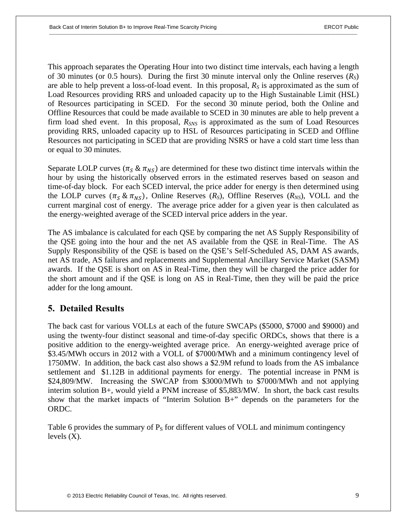This approach separates the Operating Hour into two distinct time intervals, each having a length of 30 minutes (or 0.5 hours). During the first 30 minute interval only the Online reserves (*RS*) are able to help prevent a loss-of-load event. In this proposal, *RS* is approximated as the sum of Load Resources providing RRS and unloaded capacity up to the High Sustainable Limit (HSL) of Resources participating in SCED. For the second 30 minute period, both the Online and Offline Resources that could be made available to SCED in 30 minutes are able to help prevent a firm load shed event. In this proposal, *RSNS* is approximated as the sum of Load Resources providing RRS, unloaded capacity up to HSL of Resources participating in SCED and Offline Resources not participating in SCED that are providing NSRS or have a cold start time less than or equal to 30 minutes.

Separate LOLP curves ( $\pi_S \& \pi_{NS}$ ) are determined for these two distinct time intervals within the hour by using the historically observed errors in the estimated reserves based on season and time-of-day block. For each SCED interval, the price adder for energy is then determined using the LOLP curves  $(\pi_S \& \pi_{NS})$ , Online Reserves  $(R_S)$ , Offline Reserves  $(R_{NS})$ , VOLL and the current marginal cost of energy. The average price adder for a given year is then calculated as the energy-weighted average of the SCED interval price adders in the year.

The AS imbalance is calculated for each QSE by comparing the net AS Supply Responsibility of the QSE going into the hour and the net AS available from the QSE in Real-Time. The AS Supply Responsibility of the QSE is based on the QSE's Self-Scheduled AS, DAM AS awards, net AS trade, AS failures and replacements and Supplemental Ancillary Service Market (SASM) awards. If the QSE is short on AS in Real-Time, then they will be charged the price adder for the short amount and if the QSE is long on AS in Real-Time, then they will be paid the price adder for the long amount.

## **5. Detailed Results**

The back cast for various VOLLs at each of the future SWCAPs (\$5000, \$7000 and \$9000) and using the twenty-four distinct seasonal and time-of-day specific ORDCs, shows that there is a positive addition to the energy-weighted average price. An energy-weighted average price of \$3.45/MWh occurs in 2012 with a VOLL of \$7000/MWh and a minimum contingency level of 1750MW. In addition, the back cast also shows a \$2.9M refund to loads from the AS imbalance settlement and \$1.12B in additional payments for energy. The potential increase in PNM is \$24,809/MW. Increasing the SWCAP from \$3000/MWh to \$7000/MWh and not applying interim solution B+, would yield a PNM increase of \$5,883/MW. In short, the back cast results show that the market impacts of "Interim Solution B+" depends on the parameters for the ORDC.

Table 6 provides the summary of  $P<sub>S</sub>$  for different values of VOLL and minimum contingency levels  $(X)$ .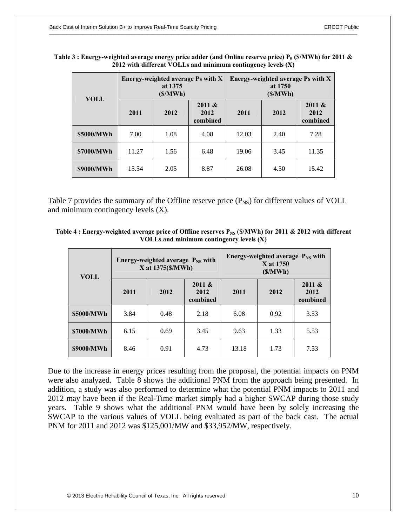| <b>VOLL</b> | Energy-weighted average Ps with X<br>at 1375<br>(S/MWh) |      |                            | Energy-weighted average Ps with X<br>at 1750<br>(S/MWh) |      |                            |
|-------------|---------------------------------------------------------|------|----------------------------|---------------------------------------------------------|------|----------------------------|
|             | 2011                                                    | 2012 | 2011 &<br>2012<br>combined | 2011                                                    | 2012 | 2011 &<br>2012<br>combined |
| \$5000/MWh  | 7.00                                                    | 1.08 | 4.08                       | 12.03                                                   | 2.40 | 7.28                       |
| \$7000/MWh  | 11.27                                                   | 1.56 | 6.48                       | 19.06                                                   | 3.45 | 11.35                      |
| \$9000/MWh  | 15.54                                                   | 2.05 | 8.87                       | 26.08                                                   | 4.50 | 15.42                      |

| Table 3 : Energy-weighted average energy price adder (and Online reserve price) $P_S$ (\$/MWh) for 2011 $\&$ |  |
|--------------------------------------------------------------------------------------------------------------|--|
| 2012 with different VOLLs and minimum contingency levels $(X)$                                               |  |

Table 7 provides the summary of the Offline reserve price  $(P_{NS})$  for different values of VOLL and minimum contingency levels (X).

| Table 4 : Energy-weighted average price of Offline reserves $P_{NS}$ (\$/MWh) for 2011 & 2012 with different |  |  |
|--------------------------------------------------------------------------------------------------------------|--|--|
| VOLLs and minimum contingency levels $(X)$                                                                   |  |  |

| <b>VOLL</b> |      | Energy-weighted average $P_{NS}$ with<br>X at 1375(\$/MWh) |                            |       | Energy-weighted average $P_{NS}$ with<br>X at 1750<br>(S/MWh) |                            |  |
|-------------|------|------------------------------------------------------------|----------------------------|-------|---------------------------------------------------------------|----------------------------|--|
|             | 2011 | 2012                                                       | 2011 &<br>2012<br>combined | 2011  | 2012                                                          | 2011 &<br>2012<br>combined |  |
| \$5000/MWh  | 3.84 | 0.48                                                       | 2.18                       | 6.08  | 0.92                                                          | 3.53                       |  |
| \$7000/MWh  | 6.15 | 0.69                                                       | 3.45                       | 9.63  | 1.33                                                          | 5.53                       |  |
| \$9000/MWh  | 8.46 | 0.91                                                       | 4.73                       | 13.18 | 1.73                                                          | 7.53                       |  |

Due to the increase in energy prices resulting from the proposal, the potential impacts on PNM were also analyzed. Table 8 shows the additional PNM from the approach being presented. In addition, a study was also performed to determine what the potential PNM impacts to 2011 and 2012 may have been if the Real-Time market simply had a higher SWCAP during those study years. Table 9 shows what the additional PNM would have been by solely increasing the SWCAP to the various values of VOLL being evaluated as part of the back cast. The actual PNM for 2011 and 2012 was \$125,001/MW and \$33,952/MW, respectively.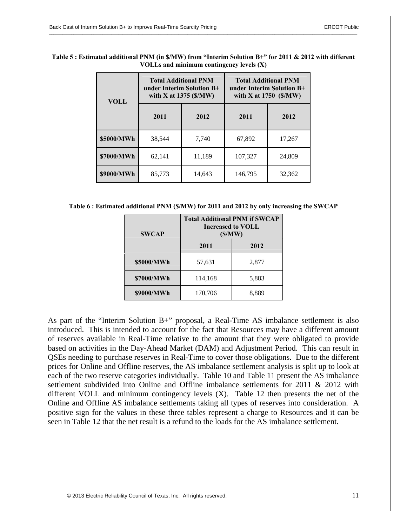| <b>VOLL</b> | <b>Total Additional PNM</b><br>under Interim Solution $B^+$<br>with X at $1375$ (\$/MW) |        | <b>Total Additional PNM</b><br>under Interim Solution B+<br>with X at $1750$ (\$/MW) |        |  |
|-------------|-----------------------------------------------------------------------------------------|--------|--------------------------------------------------------------------------------------|--------|--|
|             | 2011                                                                                    | 2012   |                                                                                      | 2012   |  |
| \$5000/MWh  | 38.544                                                                                  | 7.740  | 67,892                                                                               | 17,267 |  |
| \$7000/MWh  | 62,141                                                                                  | 11,189 | 107,327                                                                              | 24,809 |  |
| \$9000/MWh  | 85,773                                                                                  | 14,643 | 146,795                                                                              | 32,362 |  |

| Table 5 : Estimated additional PNM (in \$/MW) from "Interim Solution B+" for 2011 & 2012 with different |
|---------------------------------------------------------------------------------------------------------|
| VOLLs and minimum contingency levels (X)                                                                |

**Table 6 : Estimated additional PNM (\$/MW) for 2011 and 2012 by only increasing the SWCAP** 

| <b>SWCAP</b> | <b>Total Additional PNM if SWCAP</b><br><b>Increased to VOLL</b><br>(S/MW) |       |  |  |  |
|--------------|----------------------------------------------------------------------------|-------|--|--|--|
|              | 2011                                                                       | 2012  |  |  |  |
| \$5000/MWh   | 57,631                                                                     | 2,877 |  |  |  |
| \$7000/MWh   | 114,168                                                                    | 5,883 |  |  |  |
| \$9000/MWh   | 170,706                                                                    | 8,889 |  |  |  |

As part of the "Interim Solution B+" proposal, a Real-Time AS imbalance settlement is also introduced. This is intended to account for the fact that Resources may have a different amount of reserves available in Real-Time relative to the amount that they were obligated to provide based on activities in the Day-Ahead Market (DAM) and Adjustment Period. This can result in QSEs needing to purchase reserves in Real-Time to cover those obligations. Due to the different prices for Online and Offline reserves, the AS imbalance settlement analysis is split up to look at each of the two reserve categories individually. Table 10 and Table 11 present the AS imbalance settlement subdivided into Online and Offline imbalance settlements for 2011 & 2012 with different VOLL and minimum contingency levels (X). Table 12 then presents the net of the Online and Offline AS imbalance settlements taking all types of reserves into consideration. A positive sign for the values in these three tables represent a charge to Resources and it can be seen in Table 12 that the net result is a refund to the loads for the AS imbalance settlement.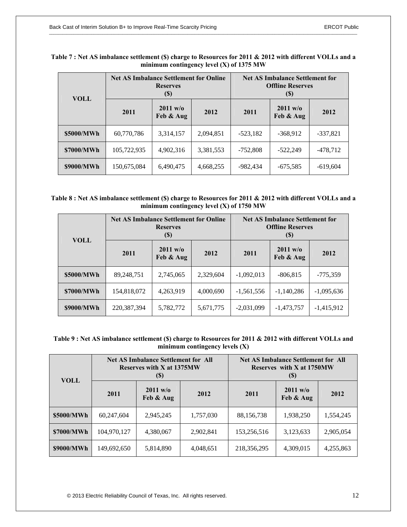| <b>VOLL</b> | <b>Net AS Imbalance Settlement for Online</b> | <b>Reserves</b><br>$\left( \mathbb{S}\right)$ | <b>Net AS Imbalance Settlement for</b><br><b>Offline Reserves</b><br>$\left( \mathbb{S}\right)$ |            |                                 |            |
|-------------|-----------------------------------------------|-----------------------------------------------|-------------------------------------------------------------------------------------------------|------------|---------------------------------|------------|
|             | 2011                                          | $2011 \text{ w/o}$<br>Feb & Aug               | 2012                                                                                            | 2011       | $2011 \text{ w/o}$<br>Feb & Aug | 2012       |
| \$5000/MWh  | 60,770,786                                    | 3,314,157                                     | 2,094,851                                                                                       | $-523,182$ | $-368,912$                      | $-337,821$ |
| \$7000/MWh  | 105,722,935                                   | 4,902,316                                     | 3,381,553                                                                                       | $-752,808$ | $-522,249$                      | $-478,712$ |
| \$9000/MWh  | 150,675,084                                   | 6,490,475                                     | 4,668,255                                                                                       | -982.434   | $-675,585$                      | $-619,604$ |

| Table 7 : Net AS imbalance settlement (\$) charge to Resources for 2011 & 2012 with different VOLLs and a |
|-----------------------------------------------------------------------------------------------------------|
| minimum contingency level $(X)$ of 1375 MW                                                                |

| Table 8 : Net AS imbalance settlement (\$) charge to Resources for 2011 & 2012 with different VOLLs and a |
|-----------------------------------------------------------------------------------------------------------|
| minimum contingency level $(X)$ of 1750 MW                                                                |

| <b>VOLL</b> | <b>Net AS Imbalance Settlement for Online</b><br><b>Reserves</b><br>$\left( \mathbb{S}\right)$ |                                         |           | <b>Net AS Imbalance Settlement for</b><br><b>Offline Reserves</b><br>(S) |                                 |              |
|-------------|------------------------------------------------------------------------------------------------|-----------------------------------------|-----------|--------------------------------------------------------------------------|---------------------------------|--------------|
|             | 2011                                                                                           | $2011 \text{ w/o}$<br>2012<br>Feb & Aug |           | 2011                                                                     | $2011 \text{ w/o}$<br>Feb & Aug | 2012         |
| \$5000/MWh  | 89,248,751                                                                                     | 2,745,065                               | 2,329,604 | $-1,092,013$                                                             | $-806,815$                      | $-775,359$   |
| \$7000/MWh  | 154,818,072                                                                                    | 4,263,919                               | 4,000,690 | $-1,561,556$                                                             | $-1,140,286$                    | $-1,095,636$ |
| \$9000/MWh  | 220, 387, 394                                                                                  | 5,782,772                               | 5,671,775 | $-2,031,099$                                                             | $-1,473,757$                    | $-1,415,912$ |

**Table 9 : Net AS imbalance settlement (\$) charge to Resources for 2011 & 2012 with different VOLLs and minimum contingency levels (X)** 

| <b>VOLL</b> | <b>Net AS Imbalance Settlement for All</b><br><b>Reserves with X at 1375MW</b><br>$(s)$ |                       |           | <b>Net AS Imbalance Settlement for All</b><br>Reserves with X at 1750MW<br>(S) |                       |           |
|-------------|-----------------------------------------------------------------------------------------|-----------------------|-----------|--------------------------------------------------------------------------------|-----------------------|-----------|
|             | 2011                                                                                    | 2011 w/o<br>Feb & Aug | 2012      | 2011                                                                           | 2011 w/o<br>Feb & Aug | 2012      |
| \$5000/MWh  | 60,247,604                                                                              | 2,945,245             | 1,757,030 | 88,156,738                                                                     | 1,938,250             | 1,554,245 |
| \$7000/MWh  | 104,970,127                                                                             | 4,380,067             | 2,902,841 | 153,256,516                                                                    | 3,123,633             | 2,905,054 |
| \$9000/MWh  | 149,692,650                                                                             | 5,814,890             | 4,048,651 | 218,356,295                                                                    | 4,309,015             | 4,255,863 |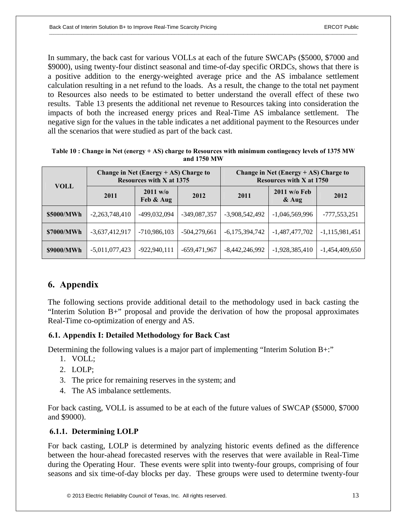In summary, the back cast for various VOLLs at each of the future SWCAPs (\$5000, \$7000 and \$9000), using twenty-four distinct seasonal and time-of-day specific ORDCs, shows that there is a positive addition to the energy-weighted average price and the AS imbalance settlement calculation resulting in a net refund to the loads. As a result, the change to the total net payment to Resources also needs to be estimated to better understand the overall effect of these two results. Table 13 presents the additional net revenue to Resources taking into consideration the impacts of both the increased energy prices and Real-Time AS imbalance settlement. The negative sign for the values in the table indicates a net additional payment to the Resources under all the scenarios that were studied as part of the back cast.

|             |                  | Change in Net (Energy $+$ AS) Charge to<br><b>Resources with X at 1375</b> |                |                  | Change in Net (Energy $+$ AS) Charge to<br><b>Resources with X at 1750</b> |                  |
|-------------|------------------|----------------------------------------------------------------------------|----------------|------------------|----------------------------------------------------------------------------|------------------|
| <b>VOLL</b> | 2011             | $2011 \text{ w/o}$<br>Feb & Aug                                            | 2012           | 2011             | $2011$ w/o Feb<br>$\&$ Aug                                                 | 2012             |
| \$5000/MWh  | $-2,263,748,410$ | -499,032,094                                                               | $-349,087,357$ | $-3,908,542,492$ | $-1,046,569,996$                                                           | $-777,553,251$   |
| \$7000/MWh  | $-3,637,412,917$ | $-710,986,103$                                                             | $-504,279,661$ | $-6,175,394,742$ | $-1,487,477,702$                                                           | $-1,115,981,451$ |
| \$9000/MWh  | $-5,011,077,423$ | $-922,940,111$                                                             | $-659,471,967$ | $-8,442,246,992$ | $-1,928,385,410$                                                           | $-1,454,409,650$ |

| Table 10 : Change in Net (energy + AS) charge to Resources with minimum contingency levels of 1375 MW |
|-------------------------------------------------------------------------------------------------------|
| and 1750 MW                                                                                           |

## **6. Appendix**

The following sections provide additional detail to the methodology used in back casting the "Interim Solution B+" proposal and provide the derivation of how the proposal approximates Real-Time co-optimization of energy and AS.

## **6.1. Appendix I: Detailed Methodology for Back Cast**

Determining the following values is a major part of implementing "Interim Solution B+:"

- 1. VOLL;
- 2. LOLP;
- 3. The price for remaining reserves in the system; and
- 4. The AS imbalance settlements.

For back casting, VOLL is assumed to be at each of the future values of SWCAP (\$5000, \$7000 and \$9000).

## **6.1.1. Determining LOLP**

For back casting, LOLP is determined by analyzing historic events defined as the difference between the hour-ahead forecasted reserves with the reserves that were available in Real-Time during the Operating Hour. These events were split into twenty-four groups, comprising of four seasons and six time-of-day blocks per day. These groups were used to determine twenty-four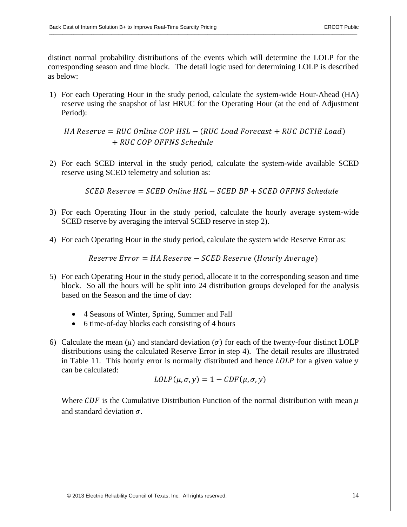distinct normal probability distributions of the events which will determine the LOLP for the corresponding season and time block. The detail logic used for determining LOLP is described as below:

1) For each Operating Hour in the study period, calculate the system-wide Hour-Ahead (HA) reserve using the snapshot of last HRUC for the Operating Hour (at the end of Adjustment Period):

HA Reserve = RUC Online COP HSL  $-$  (RUC Load Forecast  $+$  RUC DCTIE Load) ݈݁ݑ݄ܵܿ݁݀ ܰܵܨܨܱ ܱܲܥ ܥܴܷ

2) For each SCED interval in the study period, calculate the system-wide available SCED reserve using SCED telemetry and solution as:

 $S$ CED Reserve =  $S$ CED Online HSL –  $S$ CED BP +  $S$ CED OFFNS Schedule

- 3) For each Operating Hour in the study period, calculate the hourly average system-wide SCED reserve by averaging the interval SCED reserve in step 2).
- 4) For each Operating Hour in the study period, calculate the system wide Reserve Error as:

 $Reserve Error = HA Reserve - SCED Reserve (Hourly Average)$ 

- 5) For each Operating Hour in the study period, allocate it to the corresponding season and time block. So all the hours will be split into 24 distribution groups developed for the analysis based on the Season and the time of day:
	- 4 Seasons of Winter, Spring, Summer and Fall
	- $\bullet$  6 time-of-day blocks each consisting of 4 hours
- 6) Calculate the mean  $(\mu)$  and standard deviation  $(\sigma)$  for each of the twenty-four distinct LOLP distributions using the calculated Reserve Error in step 4). The detail results are illustrated in Table 11. This hourly error is normally distributed and hence  $LOLD$  for a given value  $y$ can be calculated:

$$
LOLP(\mu, \sigma, y) = 1 - CDF(\mu, \sigma, y)
$$

Where CDF is the Cumulative Distribution Function of the normal distribution with mean  $\mu$ and standard deviation  $\sigma$ .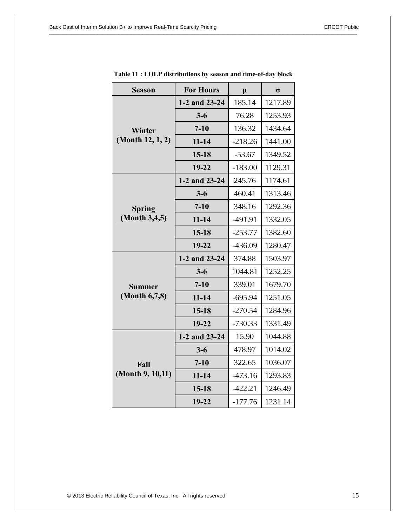| <b>Season</b>                  | <b>For Hours</b> | $\mu$     | $\sigma$ |
|--------------------------------|------------------|-----------|----------|
| Winter<br>(Month 12, 1, 2)     | 1-2 and 23-24    | 185.14    | 1217.89  |
|                                | $3 - 6$          | 76.28     | 1253.93  |
|                                | $7 - 10$         | 136.32    | 1434.64  |
|                                | $11 - 14$        | $-218.26$ | 1441.00  |
|                                | $15 - 18$        | $-53.67$  | 1349.52  |
|                                | 19-22            | $-183.00$ | 1129.31  |
| <b>Spring</b><br>(Month 3,4,5) | 1-2 and 23-24    | 245.76    | 1174.61  |
|                                | $3 - 6$          | 460.41    | 1313.46  |
|                                | $7 - 10$         | 348.16    | 1292.36  |
|                                | $11 - 14$        | $-491.91$ | 1332.05  |
|                                | $15 - 18$        | $-253.77$ | 1382.60  |
|                                | $19 - 22$        | $-436.09$ | 1280.47  |
| <b>Summer</b><br>(Month 6,7,8) | 1-2 and 23-24    | 374.88    | 1503.97  |
|                                | $3 - 6$          | 1044.81   | 1252.25  |
|                                | $7 - 10$         | 339.01    | 1679.70  |
|                                | $11 - 14$        | $-695.94$ | 1251.05  |
|                                | $15 - 18$        | $-270.54$ | 1284.96  |
|                                | $19 - 22$        | $-730.33$ | 1331.49  |
| Fall<br>(Month 9, 10, 11)      | 1-2 and 23-24    | 15.90     | 1044.88  |
|                                | $3 - 6$          | 478.97    | 1014.02  |
|                                | $7 - 10$         | 322.65    | 1036.07  |
|                                | $11 - 14$        | $-473.16$ | 1293.83  |
|                                | $15 - 18$        | $-422.21$ | 1246.49  |
|                                | 19-22            | $-177.76$ | 1231.14  |

**Table 11 : LOLP distributions by season and time-of-day block**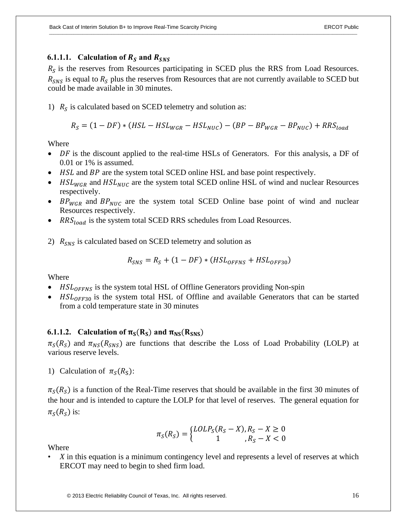## **6.1.1.1.** Calculation of  $R_s$  and  $R_{SNS}$

 $R<sub>S</sub>$  is the reserves from Resources participating in SCED plus the RRS from Load Resources.  $R_{SNS}$  is equal to  $R_S$  plus the reserves from Resources that are not currently available to SCED but could be made available in 30 minutes.

1)  $R<sub>S</sub>$  is calculated based on SCED telemetry and solution as:

$$
R_S = (1 - DF) * (HSL - HSL_{WGR} - HSL_{NUC}) - (BP - BP_{WGR} - BP_{NUC}) + RRS_{load}
$$

Where

- DF is the discount applied to the real-time HSLs of Generators. For this analysis, a DF of 0.01 or 1% is assumed.
- HSL and BP are the system total SCED online HSL and base point respectively.
- $HSL_{WGR}$  and  $HSL_{NUC}$  are the system total SCED online HSL of wind and nuclear Resources respectively.
- $BP_{WGR}$  and  $BP_{NUC}$  are the system total SCED Online base point of wind and nuclear Resources respectively.
- $RRS_{load}$  is the system total SCED RRS schedules from Load Resources.
- 2)  $R_{SNS}$  is calculated based on SCED telemetry and solution as

$$
R_{SNS} = R_S + (1 - DF) * (HSL_{OFFNS} + HSL_{OFF30})
$$

Where

- $HSL_{OFFNS}$  is the system total HSL of Offline Generators providing Non-spin
- $HSL_{OFF30}$  is the system total HSL of Offline and available Generators that can be started from a cold temperature state in 30 minutes

## **6.1.1.2. Calculation of**  $\pi_S(R_S)$  **and**  $\pi_{NS}(R_{SNS})$

 $\pi_S(R_S)$  and  $\pi_{NS}(R_{SNS})$  are functions that describe the Loss of Load Probability (LOLP) at various reserve levels.

1) Calculation of  $\pi_s(R_s)$ :

 $\pi_{\mathcal{S}}(R_{\mathcal{S}})$  is a function of the Real-Time reserves that should be available in the first 30 minutes of the hour and is intended to capture the LOLP for that level of reserves. The general equation for  $\pi_s(R_s)$  is:

$$
\pi_S(R_S) = \begin{cases} LOLP_S(R_S - X), R_S - X \ge 0\\ 1, R_S - X < 0 \end{cases}
$$

Where

• *X* in this equation is a minimum contingency level and represents a level of reserves at which ERCOT may need to begin to shed firm load.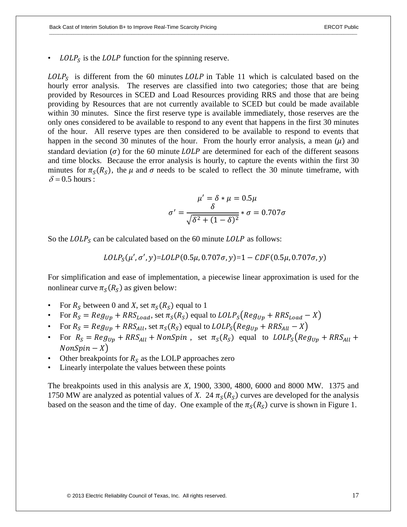$\text{LOLP}_S$  is the  $\text{LOLP}$  function for the spinning reserve.

 $\text{LOLP}_S$  is different from the 60 minutes  $\text{LOLP}$  in Table 11 which is calculated based on the hourly error analysis. The reserves are classified into two categories; those that are being provided by Resources in SCED and Load Resources providing RRS and those that are being providing by Resources that are not currently available to SCED but could be made available within 30 minutes. Since the first reserve type is available immediately, those reserves are the only ones considered to be available to respond to any event that happens in the first 30 minutes of the hour. All reserve types are then considered to be available to respond to events that happen in the second 30 minutes of the hour. From the hourly error analysis, a mean  $(\mu)$  and standard deviation ( $\sigma$ ) for the 60 minute *LOLP* are determined for each of the different seasons and time blocks. Because the error analysis is hourly, to capture the events within the first 30 minutes for  $\pi_s(R_s)$ , the  $\mu$  and  $\sigma$  needs to be scaled to reflect the 30 minute timeframe, with  $\delta$  = 0.5 hours :

$$
\mu' = \delta * \mu = 0.5\mu
$$

$$
\sigma' = \frac{\delta}{\sqrt{\delta^2 + (1 - \delta)^2}} * \sigma = 0.707\sigma
$$

So the  $\text{LOLP}_S$  can be calculated based on the 60 minute  $\text{LOLP}$  as follows:

$$
LOLP_{S}(\mu', \sigma', y) = LOLP(0.5\mu, 0.707\sigma, y) = 1 - CDF(0.5\mu, 0.707\sigma, y)
$$

For simplification and ease of implementation, a piecewise linear approximation is used for the nonlinear curve  $\pi_S(R_S)$  as given below:

- For  $R_s$  between 0 and *X*, set  $\pi_s(R_s)$  equal to 1
- For  $R_S = Reg_{Up} + RRS_{Load}$ , set  $\pi_S(R_S)$  equal to  $LOLP_S(Reg_{Up} + RRS_{Load} X)$
- For  $R_s = Reg_{Up} + RRS_{All}$ , set  $\pi_s(R_s)$  equal to  $LOLP_s(Reg_{Up} + RRS_{All} X)$
- For  $R_s = Reg_{Up} + RRS_{All} + NonSpin$ , set  $\pi_s(R_s)$  equal to  $LOLP_s(Reg_{Up} + RRS_{All} +$  $NonSpin - X)$
- Other breakpoints for  $R_S$  as the LOLP approaches zero
- Linearly interpolate the values between these points

The breakpoints used in this analysis are *X*, 1900, 3300, 4800, 6000 and 8000 MW. 1375 and 1750 MW are analyzed as potential values of *X*. 24  $\pi_s(R_s)$  curves are developed for the analysis based on the season and the time of day. One example of the  $\pi_s(R_s)$  curve is shown in Figure 1.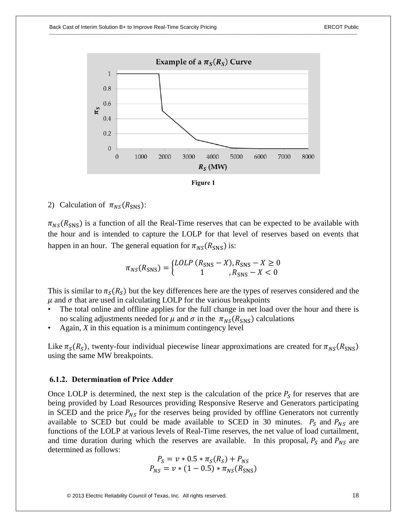

**Figure 1** 

## 2) Calculation of  $\pi_{NS}(R_{SNS})$ :

 $\pi_{NS}(R_{\text{SNS}})$  is a function of all the Real-Time reserves that can be expected to be available with the hour and is intended to capture the LOLP for that level of reserves based on events that happen in an hour. The general equation for  $\pi_{NS}(R_{\rm SNS})$  is:

$$
\pi_{NS}(R_{\text{SNS}}) = \begin{cases} LOLP (R_{\text{SNS}} - X), R_{\text{SNS}} - X \ge 0\\ 1, R_{\text{SNS}} - X < 0 \end{cases}
$$

This is similar to  $\pi_s(R_s)$  but the key differences here are the types of reserves considered and the  $\mu$  and  $\sigma$  that are used in calculating LOLP for the various breakpoints

- The total online and offline applies for the full change in net load over the hour and there is no scaling adjustments needed for  $\mu$  and  $\sigma$  in the  $\pi_{NS}(R_{\rm SNS})$  calculations
- Again, *X* in this equation is a minimum contingency level

Like  $\pi_S(R_S)$ , twenty-four individual piecewise linear approximations are created for  $\pi_{NS}(R_{SNS})$ using the same MW breakpoints.

#### **6.1.2. Determination of Price Adder**

Once LOLP is determined, the next step is the calculation of the price  $P_s$  for reserves that are being provided by Load Resources providing Responsive Reserve and Generators participating in SCED and the price  $P_{NS}$  for the reserves being provided by offline Generators not currently available to SCED but could be made available to SCED in 30 minutes.  $P_s$  and  $P_{NS}$  are functions of the LOLP at various levels of Real-Time reserves, the net value of load curtailment, and time duration during which the reserves are available. In this proposal,  $P_s$  and  $P_{NS}$  are determined as follows:

$$
P_S = v * 0.5 * \pi_S(R_S) + P_{NS}
$$
  

$$
P_{NS} = v * (1 - 0.5) * \pi_{NS}(R_{SNS})
$$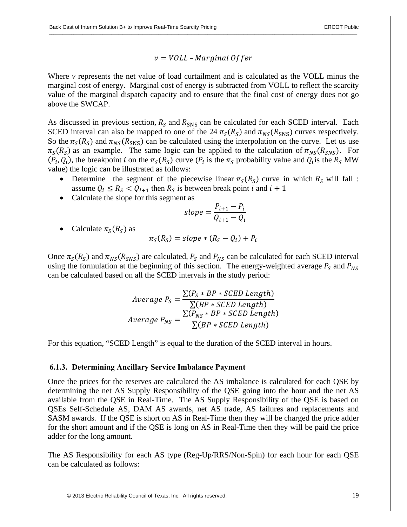$v =$  VOLL – Marginal Offer

Where *v* represents the net value of load curtailment and is calculated as the VOLL minus the marginal cost of energy. Marginal cost of energy is subtracted from VOLL to reflect the scarcity value of the marginal dispatch capacity and to ensure that the final cost of energy does not go above the SWCAP.

As discussed in previous section,  $R_s$  and  $R_{\rm SNS}$  can be calculated for each SCED interval. Each SCED interval can also be mapped to one of the 24  $\pi_S(R_S)$  and  $\pi_{NS}(R_{SNS})$  curves respectively. So the  $\pi_S(R_S)$  and  $\pi_{NS}(R_{SNS})$  can be calculated using the interpolation on the curve. Let us use  $\pi_S(R_S)$  as an example. The same logic can be applied to the calculation of  $\pi_{NS}(R_{SNS})$ . For  $(P_i, Q_i)$ , the breakpoint *i* on the  $\pi_S(R_S)$  curve  $(P_i$  is the  $\pi_S$  probability value and  $Q_i$  is the  $R_S$  MW value) the logic can be illustrated as follows:

- Determine the segment of the piecewise linear  $\pi_S(R_S)$  curve in which  $R_S$  will fall : assume  $Q_i \leq R_s < Q_{i+1}$  then  $R_s$  is between break point *i* and *i* + 1
- Calculate the slope for this segment as

$$
slope = \frac{P_{i+1} - P_i}{Q_{i+1} - Q_i}
$$

Calculate  $\pi_s(R_s)$  as

$$
\pi_S(R_S) = slope * (R_S - Q_i) + P_i
$$

Once  $\pi_S(R_S)$  and  $\pi_{NS}(R_{SNS})$  are calculated,  $P_S$  and  $P_{NS}$  can be calculated for each SCED interval using the formulation at the beginning of this section. The energy-weighted average  $P_S$  and  $P_{NS}$ can be calculated based on all the SCED intervals in the study period:

$$
Average P_S = \frac{\sum (P_S * BP * SCED Length)}{\sum (BP * SCED Length)}
$$
  
Average P<sub>NS</sub> = 
$$
\frac{\sum (P_{NS} * BP * SCED Length)}{\sum (BP * SCED Length)}
$$

For this equation, "SCED Length" is equal to the duration of the SCED interval in hours.

#### **6.1.3. Determining Ancillary Service Imbalance Payment**

Once the prices for the reserves are calculated the AS imbalance is calculated for each QSE by determining the net AS Supply Responsibility of the QSE going into the hour and the net AS available from the QSE in Real-Time. The AS Supply Responsibility of the QSE is based on QSEs Self-Schedule AS, DAM AS awards, net AS trade, AS failures and replacements and SASM awards. If the QSE is short on AS in Real-Time then they will be charged the price adder for the short amount and if the QSE is long on AS in Real-Time then they will be paid the price adder for the long amount.

The AS Responsibility for each AS type (Reg-Up/RRS/Non-Spin) for each hour for each QSE can be calculated as follows: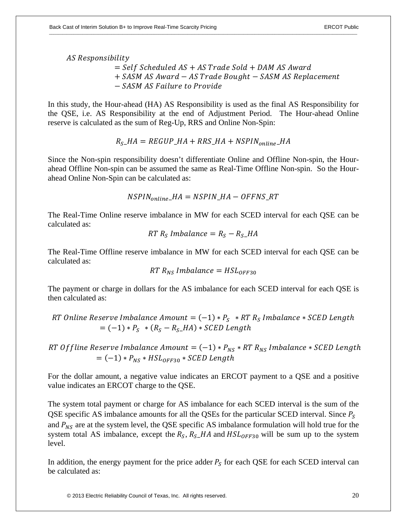AS Responsibility

 $=$  Self Scheduled AS + AS Trade Sold + DAM AS Award + SASM AS Award - AS Trade Bought - SASM AS Replacement  $-$  SASM AS Failure to Provide

In this study, the Hour-ahead (HA) AS Responsibility is used as the final AS Responsibility for the QSE, i.e. AS Responsibility at the end of Adjustment Period. The Hour-ahead Online reserve is calculated as the sum of Reg-Up, RRS and Online Non-Spin:

$$
RS - HA = REGUP\_HA + RRS\_HA + NSPIN_{online} - HA
$$

Since the Non-spin responsibility doesn't differentiate Online and Offline Non-spin, the Hourahead Offline Non-spin can be assumed the same as Real-Time Offline Non-spin. So the Hourahead Online Non-Spin can be calculated as:

$$
NSPIN_{online\_HA = NSPIN\_HA - OFFNS\_RT
$$

The Real-Time Online reserve imbalance in MW for each SCED interval for each QSE can be calculated as:

$$
RT R_S Imbalance = R_S - R_S \_HA
$$

The Real-Time Offline reserve imbalance in MW for each SCED interval for each QSE can be calculated as:

$$
RT R_{NS} Imbalance = HSL_{OFF30}
$$

The payment or charge in dollars for the AS imbalance for each SCED interval for each QSE is then calculated as:

RT Online Reserve Imbalance Amount =  $(-1) * P_s * RT R_s$  Imbalance \* SCED Length  $= (-1) * P_s * (R_s - R_s_H) * SCED$  Length

RT Of fline Reserve Imbalance Amount =  $(-1) * P_{NS} * RT R_{NS}$  Imbalance \* SCED Length  $= (-1) * P_{NS} * HSL_{OFF30} * SCED$  Length

For the dollar amount, a negative value indicates an ERCOT payment to a QSE and a positive value indicates an ERCOT charge to the QSE.

The system total payment or charge for AS imbalance for each SCED interval is the sum of the QSE specific AS imbalance amounts for all the QSEs for the particular SCED interval. Since  $P_s$ and  $P_{NS}$  are at the system level, the QSE specific AS imbalance formulation will hold true for the system total AS imbalance, except the  $R_S$ ,  $R_S$ -HA and  $HSL_{OFF30}$  will be sum up to the system level.

In addition, the energy payment for the price adder  $P_s$  for each QSE for each SCED interval can be calculated as: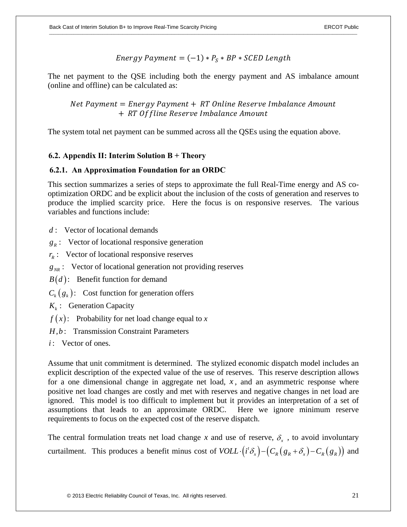Energy Payment = 
$$
(-1) * P_s * BP * SCED Length
$$

The net payment to the QSE including both the energy payment and AS imbalance amount (online and offline) can be calculated as:

Net Payment = Energy Payment + RT Online Reserve Imbalance Amount + RT Of fline Reserve Imbalance Amount

The system total net payment can be summed across all the QSEs using the equation above.

## **6.2. Appendix II: Interim Solution B + Theory**

#### **6.2.1. An Approximation Foundation for an ORDC**

This section summarizes a series of steps to approximate the full Real-Time energy and AS cooptimization ORDC and be explicit about the inclusion of the costs of generation and reserves to produce the implied scarcity price. Here the focus is on responsive reserves. The various variables and functions include:

- : Vector of locational demands *d*
- $g_R$ : Vector of locational responsive generation
- $r_R$ : Vector of locational responsive reserves
- $g_{NR}$ : Vector of locational generation not providing reserves
- $B(d)$ : Benefit function for demand
- $C_k(g_k)$ : Cost function for generation offers
- : Generation Capacity *k K*
- $f(x)$ : Probability for net load change equal to x
- H, b: Transmission Constraint Parameters
- : Vector of ones. *i*

Assume that unit commitment is determined. The stylized economic dispatch model includes an explicit description of the expected value of the use of reserves. This reserve description allows for a one dimensional change in aggregate net load, *x* , and an asymmetric response where positive net load changes are costly and met with reserves and negative changes in net load are ignored. This model is too difficult to implement but it provides an interpretation of a set of assumptions that leads to an approximate ORDC. Here we ignore minimum reserve requirements to focus on the expected cost of the reserve dispatch.

The central formulation treats net load change x and use of reserve,  $\delta_{r}$ , to avoid involuntary curtailment. This produces a benefit minus cost of  $VOLL \cdot (i^t \delta_x) - (C_R(g_R + \delta_x) - C_R(g_R))$  and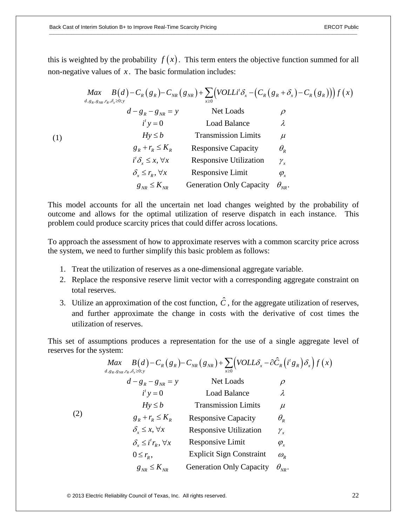$($ 

this is weighted by the probability  $f(x)$ . This term enters the objective function summed for all non-negative values of  $x$ . The basic formulation includes:

$$
\begin{array}{ll}\n\text{Max} & B(d) - C_R(g_R) - C_{NR}(g_{NR}) + \sum_{x\geq 0} \left( \text{VOLLi}^t \delta_x - \left( C_R(g_R + \delta_x) - C_R(g_R) \right) \right) f(x) \\
& d - g_R - g_{NR} = y \\
& i' y = 0 \\
& \text{Total Balance} \\
& Hy \leq b \\
& i' \delta_x \leq x, \forall x \\
& \delta_x \leq r_R, \forall x\n\end{array}\n\quad\n\begin{array}{ll}\n\text{Net Loads} & \rho \\
\text{Total Balance} & \lambda \\
& Hx \leq b \\
& \text{Transmission Limits} & \mu \\
& g_R + r_R \leq K_R \\
& \text{Response Capacity} & \theta_R \\
& i' \delta_x \leq x, \forall x \\
& \text{Response Utilization} & \gamma_x \\
& \delta_x \leq r_R, \forall x \\
& \text{Response Limit} & \phi_x \\
& g_{NR} \leq K_{NR}\n\end{array}
$$
\n

This model accounts for all the uncertain net load changes weighted by the probability of outcome and allows for the optimal utilization of reserve dispatch in each instance. This problem could produce scarcity prices that could differ across locations.

To approach the assessment of how to approximate reserves with a common scarcity price across the system, we need to further simplify this basic problem as follows:

- 1. Treat the utilization of reserves as a one-dimensional aggregate variable.
- 2. Replace the responsive reserve limit vector with a corresponding aggregate constraint on total reserves.
- 3. Utilize an approximation of the cost function,  $\hat{C}$ , for the aggregate utilization of reserves, and further approximate the change in costs with the derivative of cost times the utilization of reserves.

This set of assumptions produces a representation for the use of a single aggregate level of reserves for the system:

$$
\begin{array}{ll}\n\text{Max} & B(d) - C_R(g_R) - C_{NR}(g_{NR}) + \sum_{x \ge 0} \left(\text{VOLL}\delta_x - \partial \hat{C}_R(i^t g_R)\delta_x\right) f(x) \\
& d - g_R - g_{NR} = y \\
& i^t y = 0 \\
& i^t y = 0 \\
& Hy \le b \\
& g_R + r_R \le K_R \\
& \text{Response} & \text{Response} & \text{Lip} \\
\delta_x \le x, \forall x \\
& \text{Response} & \text{Unilization} \\
\delta_x \le i^t r_R, \forall x \\
& \text{Response} & \text{Limit} \\
\delta_x \le k, \\
0 \le r_R, \\
& \text{Expensive Limit} & \rho_x \\
0 \le r_R, \\
& \text{Explicit Sign} & \text{Construct} & \omega_R \\
g_{NR} \le K_{NR} & \text{Generation} & \text{Onstraint} & \omega_R \\
\end{array}
$$
\n
$$
\begin{array}{ll}\n\text{Lual Balance} & \lambda \\
\text{Poisson'sive } & \text{Capacity} \\
\delta_x \le i^t r_R, \forall x \\
& \text{Response} & \text{Limit} \\
\delta_{NR} & \text{Eapion'sive } & \text{Cop.} \\
\end{array}
$$

© 2013 Electric Reliability Council of Texas, Inc. All rights reserved. 22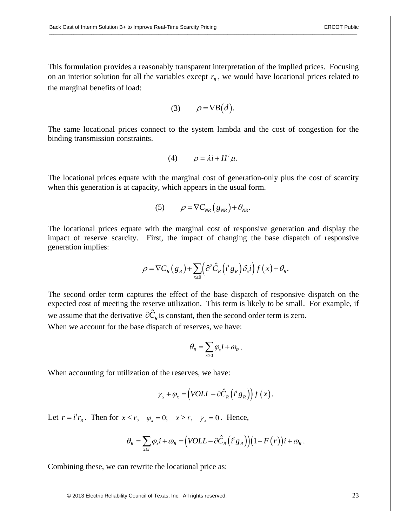This formulation provides a reasonably transparent interpretation of the implied prices. Focusing on an interior solution for all the variables except  $r<sub>R</sub>$ , we would have locational prices related to the marginal benefits of load:

$$
(3) \qquad \rho = \nabla B(d).
$$

The same locational prices connect to the system lambda and the cost of congestion for the binding transmission constraints.

$$
(4) \qquad \rho = \lambda i + H^t \mu.
$$

The locational prices equate with the marginal cost of generation-only plus the cost of scarcity when this generation is at capacity, which appears in the usual form.

$$
(5) \qquad \rho = \nabla C_{NR} (g_{NR}) + \theta_{NR}.
$$

The locational prices equate with the marginal cost of responsive generation and display the impact of reserve scarcity. First, the impact of changing the base dispatch of responsive generation implies:

$$
\rho = \nabla C_R(g_R) + \sum_{x \ge 0} \left( \frac{\partial^2 \hat{C}_R(i^t g_R)}{\partial x^i} \right) f(x) + \theta_R.
$$

The second order term captures the effect of the base dispatch of responsive dispatch on the expected cost of meeting the reserve utilization. This term is likely to be small. For example, if we assume that the derivative  $\partial \hat{C}_R$  is constant, then the second order term is zero.

When we account for the base dispatch of reserves, we have:

$$
\theta_{\!\scriptscriptstyle{R}} = \! \sum_{\scriptscriptstyle{x\geq 0}}\! \varphi_{\!\scriptscriptstyle{x}} i \!+\! \varpi_{\!\scriptscriptstyle{R}} \,.
$$

When accounting for utilization of the reserves, we have:

$$
\gamma_{x} + \varphi_{x} = \left(VOLL - \partial \hat{C}_{R} (i^{t} g_{R})\right) f(x).
$$

Let  $r = i^t r_R$ . Then for  $x \le r$ ,  $\varphi_x = 0$ ;  $x \ge r$ ,  $\gamma_x = 0$ . Hence,

$$
\theta_R = \sum_{x \ge r} \varphi_x i + \omega_R = (VOLL - \partial \hat{C}_R (i^t g_R)) (1 - F(r)) i + \omega_R.
$$

Combining these, we can rewrite the locational price as:

© 2013 Electric Reliability Council of Texas, Inc. All rights reserved. 23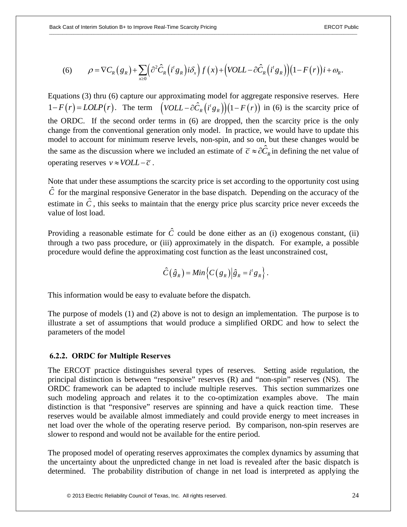(6) 
$$
\rho = \nabla C_R(g_R) + \sum_{x \geq 0} \left( \frac{\partial^2 \hat{C}_R(i^t g_R) i \delta_x}{\partial x} \right) f(x) + \left( \frac{\partial L}{\partial x} \left( \frac{\partial^2 f}{\partial x} \right) \right) (1 - F(r)) i + \omega_R.
$$

Equations (3) thru (6) capture our approximating model for aggregate responsive reserves. Here  $1 - F(r) = LOLP(r)$ . The term  $\left(VOLL - \frac{\partial \hat{C}_R}{i^s g_R}\right)(1 - F(r))$  in (6) is the scarcity price of the ORDC. If the second order terms in (6) are dropped, then the scarcity price is the only change from the conventional generation only model. In practice, we would have to update this model to account for minimum reserve levels, non-spin, and so on, but these changes would be the same as the discussion where we included an estimate of  $\bar{c} \approx \partial \hat{C}_R$  in defining the net value of operating reserves  $v \approx \text{VOLL} - \overline{c}$ .

Note that under these assumptions the scarcity price is set according to the opportunity cost using  $\hat{C}$  for the marginal responsive Generator in the base dispatch. Depending on the accuracy of the estimate in  $\hat{C}$ , this seeks to maintain that the energy price plus scarcity price never exceeds the value of lost load.

Providing a reasonable estimate for  $\hat{C}$  could be done either as an (i) exogenous constant, (ii) through a two pass procedure, or (iii) approximately in the dispatch. For example, a possible procedure would define the approximating cost function as the least unconstrained cost,

$$
\hat{C}(\hat{g}_R) = Min \left\{ C(g_R) \middle| \hat{g}_R = i^t g_R \right\}.
$$

This information would be easy to evaluate before the dispatch.

The purpose of models (1) and (2) above is not to design an implementation. The purpose is to illustrate a set of assumptions that would produce a simplified ORDC and how to select the parameters of the model

#### **6.2.2. ORDC for Multiple Reserves**

The ERCOT practice distinguishes several types of reserves. Setting aside regulation, the principal distinction is between "responsive" reserves (R) and "non-spin" reserves (NS). The ORDC framework can be adapted to include multiple reserves. This section summarizes one such modeling approach and relates it to the co-optimization examples above. The main distinction is that "responsive" reserves are spinning and have a quick reaction time. These reserves would be available almost immediately and could provide energy to meet increases in net load over the whole of the operating reserve period. By comparison, non-spin reserves are slower to respond and would not be available for the entire period.

The proposed model of operating reserves approximates the complex dynamics by assuming that the uncertainty about the unpredicted change in net load is revealed after the basic dispatch is determined. The probability distribution of change in net load is interpreted as applying the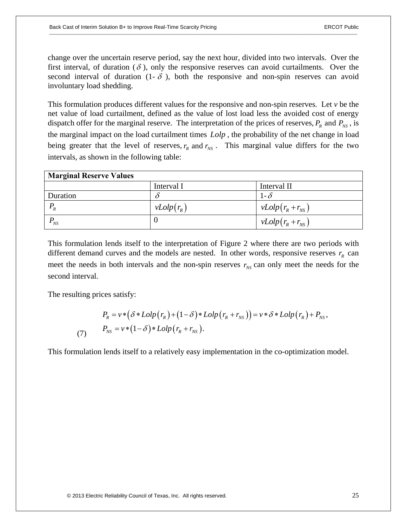change over the uncertain reserve period, say the next hour, divided into two intervals. Over the first interval, of duration  $(\delta)$ , only the responsive reserves can avoid curtailments. Over the second interval of duration  $(1 - \delta)$ , both the responsive and non-spin reserves can avoid involuntary load shedding.

This formulation produces different values for the responsive and non-spin reserves. Let *v* be the net value of load curtailment, defined as the value of lost load less the avoided cost of energy dispatch offer for the marginal reserve. The interpretation of the prices of reserves,  $P_R$  and  $P_{NS}$ , is the marginal impact on the load curtailment times *Lolp* , the probability of the net change in load being greater that the level of reserves,  $r<sub>n</sub>$  and  $r<sub>NS</sub>$ . This marginal value differs for the two intervals, as shown in the following table:

| <b>Marginal Reserve Values</b> |              |                       |
|--------------------------------|--------------|-----------------------|
|                                | Interval I   | Interval II           |
| <b>Duration</b>                |              | 1- $\delta$           |
| $P_R$                          | $vLolp(r_R)$ | $vLolp(r_R + r_{NS})$ |
| $\frac{1}{N}$                  |              | $vLolp(r_R + r_{NS})$ |

This formulation lends itself to the interpretation of Figure 2 where there are two periods with different demand curves and the models are nested. In other words, responsive reserves  $r<sub>R</sub>$  can meet the needs in both intervals and the non-spin reserves  $r_{NS}$  can only meet the needs for the second interval.

The resulting prices satisfy:

$$
P_R = v * (\delta * Lolp(r_R) + (1 - \delta) * Lolp(r_R + r_{NS})) = v * \delta * Lolp(r_R) + P_{NS},
$$
  
(7) 
$$
P_{NS} = v * (1 - \delta) * Lolp(r_R + r_{NS}).
$$

This formulation lends itself to a relatively easy implementation in the co-optimization model.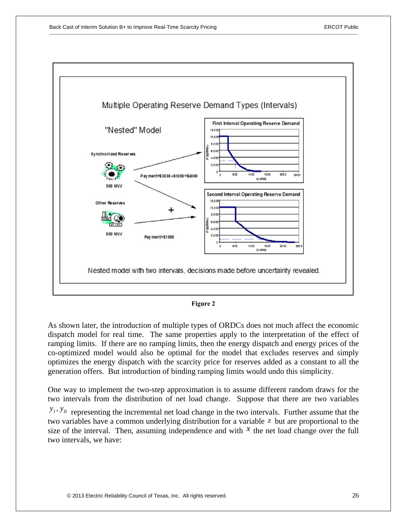

#### **Figure 2**

As shown later, the introduction of multiple types of ORDCs does not much affect the economic dispatch model for real time. The same properties apply to the interpretation of the effect of ramping limits. If there are no ramping limits, then the energy dispatch and energy prices of the co-optimized model would also be optimal for the model that excludes reserves and simply optimizes the energy dispatch with the scarcity price for reserves added as a constant to all the generation offers. But introduction of binding ramping limits would undo this simplicity.

One way to implement the two-step approximation is to assume different random draws for the two intervals from the distribution of net load change. Suppose that there are two variables

 $y_I$ ,  $y_I$  representing the incremental net load change in the two intervals. Further assume that the two variables have a common underlying distribution for a variable *z* but are proportional to the size of the interval. Then, assuming independence and with  $X$  the net load change over the full two intervals, we have: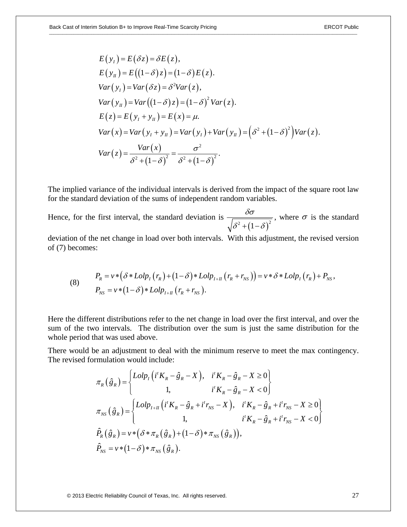$$
E(y_t) = E(\delta z) = \delta E(z),
$$
  
\n
$$
E(y_u) = E((1-\delta)z) = (1-\delta)E(z).
$$
  
\n
$$
Var(y_t) = Var(\delta z) = \delta^2 Var(z),
$$
  
\n
$$
Var(y_u) = Var((1-\delta)z) = (1-\delta)^2 Var(z).
$$
  
\n
$$
E(z) = E(y_t + y_u) = E(x) = \mu.
$$
  
\n
$$
Var(x) = Var(y_t + y_u) = Var(y_t) + Var(y_u) = (\delta^2 + (1-\delta)^2)Var(z).
$$
  
\n
$$
Var(z) = \frac{Var(x)}{\delta^2 + (1-\delta)^2} = \frac{\sigma^2}{\delta^2 + (1-\delta)^2}.
$$

The implied variance of the individual intervals is derived from the impact of the square root law for the standard deviation of the sums of independent random variables.

Hence, for the first interval, the standard deviation is  $^{2}+(1-\delta)^{2}$  $\delta \sigma$  $\delta^2 + (1-\delta$ , where  $\sigma$  is the standard

deviation of the net change in load over both intervals. With this adjustment, the revised version of (7) becomes:

(8) 
$$
P_R = v * (\delta * Lolp_1(r_R) + (1 - \delta) * Lolp_{I+II}(r_R + r_{NS})) = v * \delta * Lolp_1(r_R) + P_{NS},
$$

$$
P_{NS} = v * (1 - \delta) * Lolp_{I+II}(r_R + r_{NS}).
$$

Here the different distributions refer to the net change in load over the first interval, and over the sum of the two intervals. The distribution over the sum is just the same distribution for the whole period that was used above.

There would be an adjustment to deal with the minimum reserve to meet the max contingency. The revised formulation would include:

$$
\pi_{R}(\hat{g}_{R}) = \begin{cases}\nLolp_{I}(i^{t}K_{R} - \hat{g}_{R} - X), & i^{t}K_{R} - \hat{g}_{R} - X \ge 0 \\
1, & i^{t}K_{R} - \hat{g}_{R} - X < 0\n\end{cases}
$$
\n
$$
\pi_{NS}(\hat{g}_{R}) = \begin{cases}\nLolp_{I+II}(i^{t}K_{R} - \hat{g}_{R} + i^{t}r_{NS} - X), & i^{t}K_{R} - \hat{g}_{R} + i^{t}r_{NS} - X \ge 0 \\
1, & i^{t}K_{R} - \hat{g}_{R} + i^{t}r_{NS} - X < 0\n\end{cases}
$$
\n
$$
\hat{P}_{R}(\hat{g}_{R}) = v * (\delta * \pi_{R}(\hat{g}_{R}) + (1 - \delta) * \pi_{NS}(\hat{g}_{R})),
$$
\n
$$
\hat{P}_{NS} = v * (1 - \delta) * \pi_{NS}(\hat{g}_{R}).
$$

© 2013 Electric Reliability Council of Texas, Inc. All rights reserved. 27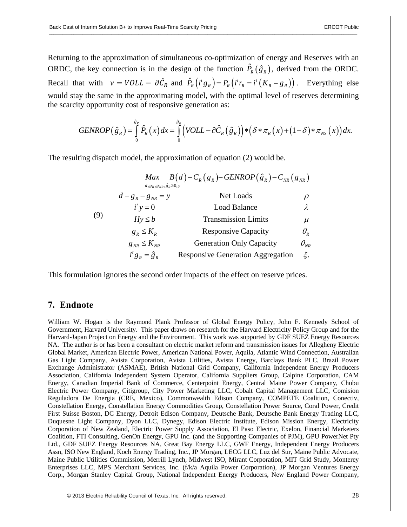Returning to the approximation of simultaneous co-optimization of energy and Reserves with an ORDC, the key connection is in the design of the function  $\hat{P}_R(\hat{g}_R)$ , derived from the ORDC. Recall that with  $v = VOLL - \partial \hat{C}_R$  and  $\hat{P}_R(i^t g_R) = P_R(i^t r_R = i^t (K_R - g_R))$ . Everything else would stay the same in the approximating model, with the optimal level of reserves determining the scarcity opportunity cost of responsive generation as:

$$
GENROP(\hat{g}_R) = \int_{0}^{\hat{g}_R} \hat{P}_R(x) dx = \int_{0}^{\hat{g}_R} \left( VOLL - \partial \hat{C}_R(\hat{g}_R) \right) * \left( \delta * \pi_R(x) + (1 - \delta) * \pi_{NS}(x) \right) dx.
$$

The resulting dispatch model, the approximation of equation (2) would be.

|     |                                                                  | $Max \t B(d)-C_R(g_R)-GENROP(\hat{g}_R)-C_{NR}(g_{NR})$ |                                 |
|-----|------------------------------------------------------------------|---------------------------------------------------------|---------------------------------|
| (9) | $d, g_R, g_{NR}, \hat{g}_R \ge 0; y$<br>$d - g_{R} - g_{NR} = y$ | Net Loads                                               | $\rho$                          |
|     | $i^{\prime}$ y = 0                                               | <b>Load Balance</b>                                     | λ                               |
|     | $Hy \leq b$                                                      | <b>Transmission Limits</b>                              | $\mu$                           |
|     | $g_{R} \leq K_{R}$                                               | <b>Responsive Capacity</b>                              | $\theta_{\scriptscriptstyle R}$ |
|     | $g_{_{NR}} \leq K_{_{NR}}$                                       | <b>Generation Only Capacity</b>                         | $\theta_{_{NR}}$                |
|     | $i^t g_{R} = \hat{g}_{R}$                                        | <b>Responsive Generation Aggregation</b>                | ξ.                              |

This formulation ignores the second order impacts of the effect on reserve prices.

## **7. Endnote**

William W. Hogan is the Raymond Plank Professor of Global Energy Policy, John F. Kennedy School of Government, Harvard University. This paper draws on research for the Harvard Electricity Policy Group and for the Harvard-Japan Project on Energy and the Environment. This work was supported by GDF SUEZ Energy Resources NA. The author is or has been a consultant on electric market reform and transmission issues for Allegheny Electric Global Market, American Electric Power, American National Power, Aquila, Atlantic Wind Connection, Australian Gas Light Company, Avista Corporation, Avista Utilities, Avista Energy, Barclays Bank PLC, Brazil Power Exchange Administrator (ASMAE), British National Grid Company, California Independent Energy Producers Association, California Independent System Operator, California Suppliers Group, Calpine Corporation, CAM Energy, Canadian Imperial Bank of Commerce, Centerpoint Energy, Central Maine Power Company, Chubu Electric Power Company, Citigroup, City Power Marketing LLC, Cobalt Capital Management LLC, Comision Reguladora De Energia (CRE, Mexico), Commonwealth Edison Company, COMPETE Coalition, Conectiv, Constellation Energy, Constellation Energy Commodities Group, Constellation Power Source, Coral Power, Credit First Suisse Boston, DC Energy, Detroit Edison Company, Deutsche Bank, Deutsche Bank Energy Trading LLC, Duquesne Light Company, Dyon LLC, Dynegy, Edison Electric Institute, Edison Mission Energy, Electricity Corporation of New Zealand, Electric Power Supply Association, El Paso Electric, Exelon, Financial Marketers Coalition, FTI Consulting, GenOn Energy, GPU Inc. (and the Supporting Companies of PJM), GPU PowerNet Pty Ltd., GDF SUEZ Energy Resources NA, Great Bay Energy LLC, GWF Energy, Independent Energy Producers Assn, ISO New England, Koch Energy Trading, Inc., JP Morgan, LECG LLC, Luz del Sur, Maine Public Advocate, Maine Public Utilities Commission, Merrill Lynch, Midwest ISO, Mirant Corporation, MIT Grid Study, Monterey Enterprises LLC, MPS Merchant Services, Inc. (f/k/a Aquila Power Corporation), JP Morgan Ventures Energy Corp., Morgan Stanley Capital Group, National Independent Energy Producers, New England Power Company,